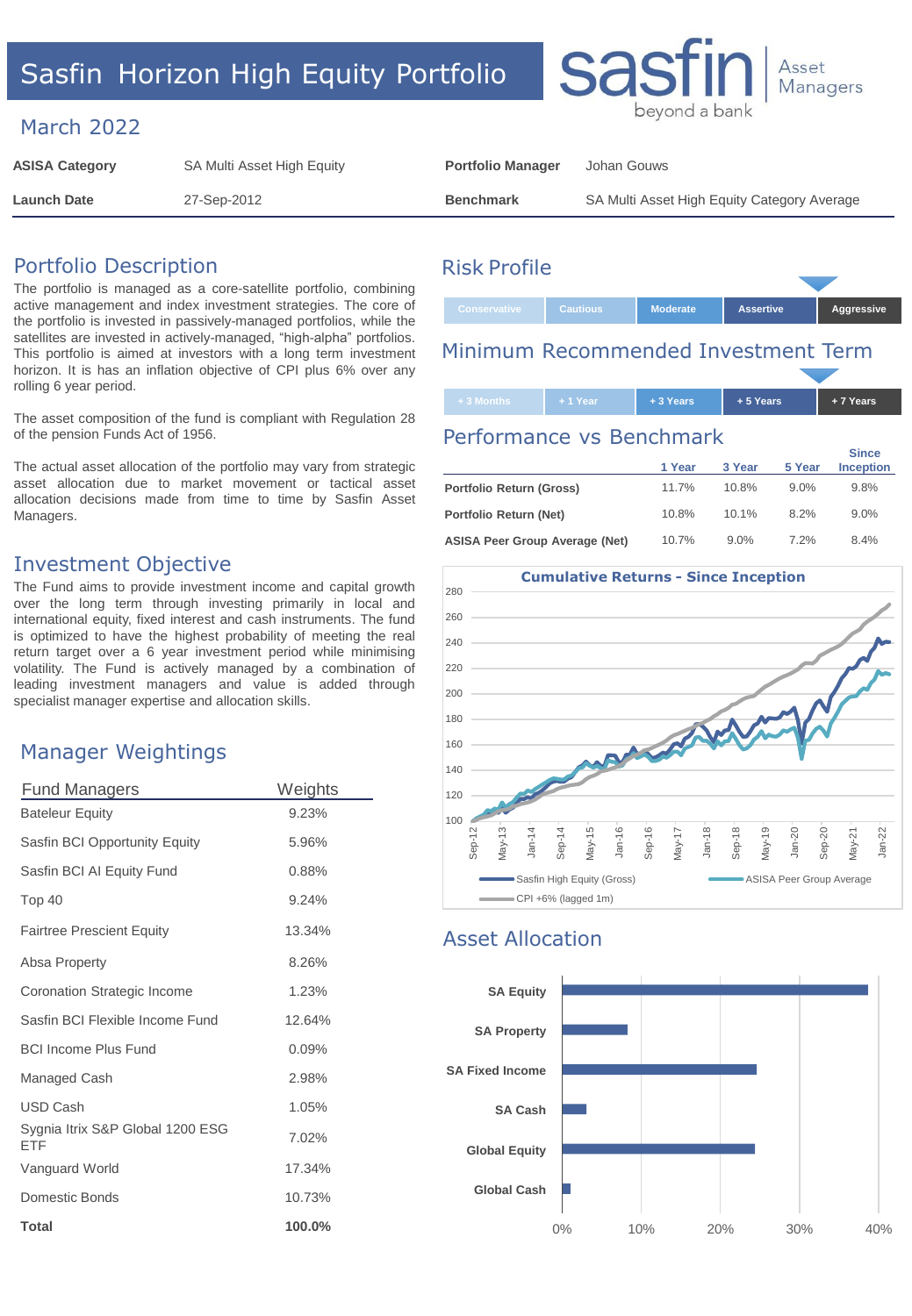# Sasfin Horizon High Equity Portfolio

### March 2022

| <b>ASISA Category</b> | SA Multi Asset High Equity | <b>Portfolio Manager</b> | Johan Gouws                                 |
|-----------------------|----------------------------|--------------------------|---------------------------------------------|
| <b>Launch Date</b>    | 27-Sep-2012                | <b>Benchmark</b>         | SA Multi Asset High Equity Category Average |

#### Portfolio Description

The portfolio is managed as a core-satellite portfolio, combining active management and index investment strategies. The core of the portfolio is invested in passively-managed portfolios, while the satellites are invested in actively-managed, "high-alpha" portfolios. This portfolio is aimed at investors with a long term investment horizon. It is has an inflation objective of CPI plus 6% over any rolling 6 year period.

The asset composition of the fund is compliant with Regulation 28 of the pension Funds Act of 1956.

The actual asset allocation of the portfolio may vary from strategic asset allocation due to market movement or tactical asset allocation decisions made from time to time by Sasfin Asset Managers.

#### Investment Objective

The Fund aims to provide investment income and capital growth over the long term through investing primarily in local and international equity, fixed interest and cash instruments. The fund is optimized to have the highest probability of meeting the real return target over a 6 year investment period while minimising volatility. The Fund is actively managed by a combination of leading investment managers and value is added through specialist manager expertise and allocation skills.

#### Manager Weightings

| <b>Fund Managers</b>                    | Weights |  |
|-----------------------------------------|---------|--|
| <b>Bateleur Equity</b>                  | 9.23%   |  |
| Sasfin BCI Opportunity Equity           | 5.96%   |  |
| Sasfin BCI AI Equity Fund               | 0.88%   |  |
| Top 40                                  | 9.24%   |  |
| <b>Fairtree Prescient Equity</b>        | 13.34%  |  |
| Absa Property                           | 8.26%   |  |
| Coronation Strategic Income             | 1.23%   |  |
| Sasfin BCI Flexible Income Fund         | 12.64%  |  |
| <b>BCI Income Plus Fund</b>             | 0.09%   |  |
| Managed Cash                            | 2.98%   |  |
| <b>USD Cash</b>                         | 1.05%   |  |
| Sygnia Itrix S&P Global 1200 ESG<br>FTF | 7.02%   |  |
| Vanguard World                          | 17.34%  |  |
| Domestic Bonds                          | 10.73%  |  |
| Total                                   | 100.0%  |  |

## Risk Profile

| Conservative | <b>Cautious</b> | <b>Moderate</b> | <b>Assertive</b> | Aggressive |
|--------------|-----------------|-----------------|------------------|------------|
|              |                 |                 |                  |            |

## Minimum Recommended Investment Term

| + 3 Months l | $+1$ Year | $+3$ Years | $+5$ Years | $+7$ Years |
|--------------|-----------|------------|------------|------------|

beyond a bank

Asset **Managers** 

#### Performance vs Benchmark

sas

|                                       | 1 Year | 3 Year | 5 Year | <b>Since</b><br><b>Inception</b> |
|---------------------------------------|--------|--------|--------|----------------------------------|
| Portfolio Return (Gross)              | 11 7%  | 10.8%  | 9.0%   | 9.8%                             |
| Portfolio Return (Net)                | 10.8%  | 10.1%  | 8.2%   | 9.0%                             |
| <b>ASISA Peer Group Average (Net)</b> | 10.7%  | 9.0%   | 7.2%   | 8.4%                             |



## Asset Allocation